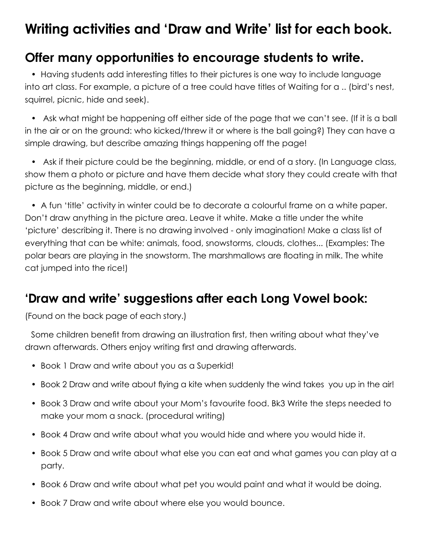## **Writing activities and 'Draw and Write' list for each book.**

## **Offer many opportunities to encourage students to write.**

• Having students add interesting titles to their pictures is one way to include language into art class. For example, a picture of a tree could have titles of Waiting for a .. (bird's nest, squirrel, picnic, hide and seek).

• Ask what might be happening off either side of the page that we can't see. (If it is a ball in the air or on the ground: who kicked/threw it or where is the ball going?) They can have a simple drawing, but describe amazing things happening off the page!

• Ask if their picture could be the beginning, middle, or end of a story. (In Language class, show them a photo or picture and have them decide what story they could create with that picture as the beginning, middle, or end.)

• A fun 'title' activity in winter could be to decorate a colourful frame on a white paper. Don't draw anything in the picture area. Leave it white. Make a title under the white 'picture' describing it. There is no drawing involved - only imagination! Make a class list of everything that can be white: animals, food, snowstorms, clouds, clothes... (Examples: The polar bears are playing in the snowstorm. The marshmallows are floating in milk. The white cat jumped into the rice!)

## **'Draw and write' suggestions after each Long Vowel book:**

(Found on the back page of each story.)

Some children benefit from drawing an illustration first, then writing about what they've drawn afterwards. Others enjoy writing first and drawing afterwards.

- Book 1 Draw and write about you as a Superkid!
- Book 2 Draw and write about flying a kite when suddenly the wind takes you up in the air!
- Book 3 Draw and write about your Mom's favourite food. Bk3 Write the steps needed to make your mom a snack. (procedural writing)
- Book 4 Draw and write about what you would hide and where you would hide it.
- Book 5 Draw and write about what else you can eat and what games you can play at a party.
- Book 6 Draw and write about what pet you would paint and what it would be doing.
- Book 7 Draw and write about where else you would bounce.